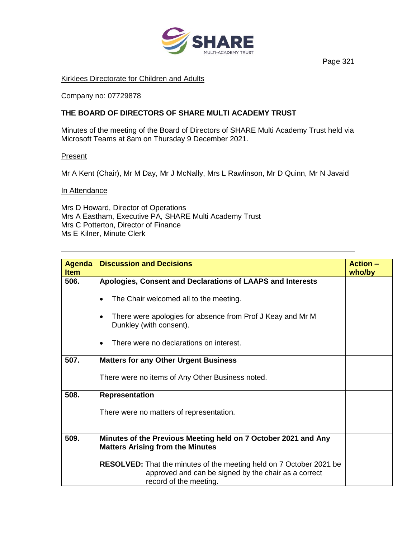

Kirklees Directorate for Children and Adults

Company no: 07729878

## **THE BOARD OF DIRECTORS OF SHARE MULTI ACADEMY TRUST**

Minutes of the meeting of the Board of Directors of SHARE Multi Academy Trust held via Microsoft Teams at 8am on Thursday 9 December 2021.

## **Present**

Mr A Kent (Chair), Mr M Day, Mr J McNally, Mrs L Rawlinson, Mr D Quinn, Mr N Javaid

## In Attendance

Mrs D Howard, Director of Operations Mrs A Eastham, Executive PA, SHARE Multi Academy Trust Mrs C Potterton, Director of Finance Ms E Kilner, Minute Clerk

| <b>Agenda</b> | <b>Discussion and Decisions</b>                                                                                                                              | <b>Action -</b> |
|---------------|--------------------------------------------------------------------------------------------------------------------------------------------------------------|-----------------|
| <b>Item</b>   |                                                                                                                                                              | who/by          |
| 506.          | Apologies, Consent and Declarations of LAAPS and Interests                                                                                                   |                 |
|               | The Chair welcomed all to the meeting.                                                                                                                       |                 |
|               | There were apologies for absence from Prof J Keay and Mr M<br>Dunkley (with consent).                                                                        |                 |
|               | There were no declarations on interest.<br>$\bullet$                                                                                                         |                 |
| 507.          | <b>Matters for any Other Urgent Business</b>                                                                                                                 |                 |
|               | There were no items of Any Other Business noted.                                                                                                             |                 |
| 508.          | Representation                                                                                                                                               |                 |
|               | There were no matters of representation.                                                                                                                     |                 |
| 509.          | Minutes of the Previous Meeting held on 7 October 2021 and Any<br><b>Matters Arising from the Minutes</b>                                                    |                 |
|               | <b>RESOLVED:</b> That the minutes of the meeting held on 7 October 2021 be<br>approved and can be signed by the chair as a correct<br>record of the meeting. |                 |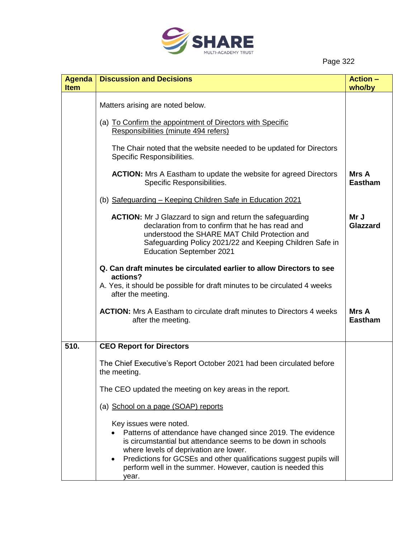

| <b>Agenda</b><br><b>Item</b> | <b>Discussion and Decisions</b>                                                                                                                                                                                                                                                                                                                | <b>Action -</b><br>who/by      |
|------------------------------|------------------------------------------------------------------------------------------------------------------------------------------------------------------------------------------------------------------------------------------------------------------------------------------------------------------------------------------------|--------------------------------|
|                              |                                                                                                                                                                                                                                                                                                                                                |                                |
|                              | Matters arising are noted below.                                                                                                                                                                                                                                                                                                               |                                |
|                              | (a) To Confirm the appointment of Directors with Specific<br>Responsibilities (minute 494 refers)                                                                                                                                                                                                                                              |                                |
|                              | The Chair noted that the website needed to be updated for Directors<br>Specific Responsibilities.                                                                                                                                                                                                                                              |                                |
|                              | <b>ACTION:</b> Mrs A Eastham to update the website for agreed Directors<br>Specific Responsibilities.                                                                                                                                                                                                                                          | <b>Mrs A</b><br><b>Eastham</b> |
|                              | (b) Safeguarding - Keeping Children Safe in Education 2021                                                                                                                                                                                                                                                                                     |                                |
|                              | <b>ACTION:</b> Mr J Glazzard to sign and return the safeguarding<br>declaration from to confirm that he has read and<br>understood the SHARE MAT Child Protection and<br>Safeguarding Policy 2021/22 and Keeping Children Safe in<br><b>Education September 2021</b>                                                                           | Mr J<br>Glazzard               |
|                              | Q. Can draft minutes be circulated earlier to allow Directors to see<br>actions?                                                                                                                                                                                                                                                               |                                |
|                              | A. Yes, it should be possible for draft minutes to be circulated 4 weeks<br>after the meeting.                                                                                                                                                                                                                                                 |                                |
|                              | <b>ACTION:</b> Mrs A Eastham to circulate draft minutes to Directors 4 weeks<br>after the meeting.                                                                                                                                                                                                                                             | <b>Mrs A</b><br><b>Eastham</b> |
| 510.                         | <b>CEO Report for Directors</b>                                                                                                                                                                                                                                                                                                                |                                |
|                              | The Chief Executive's Report October 2021 had been circulated before<br>the meeting.                                                                                                                                                                                                                                                           |                                |
|                              | The CEO updated the meeting on key areas in the report.                                                                                                                                                                                                                                                                                        |                                |
|                              | (a) School on a page (SOAP) reports                                                                                                                                                                                                                                                                                                            |                                |
|                              | Key issues were noted.<br>Patterns of attendance have changed since 2019. The evidence<br>is circumstantial but attendance seems to be down in schools<br>where levels of deprivation are lower.<br>Predictions for GCSEs and other qualifications suggest pupils will<br>perform well in the summer. However, caution is needed this<br>year. |                                |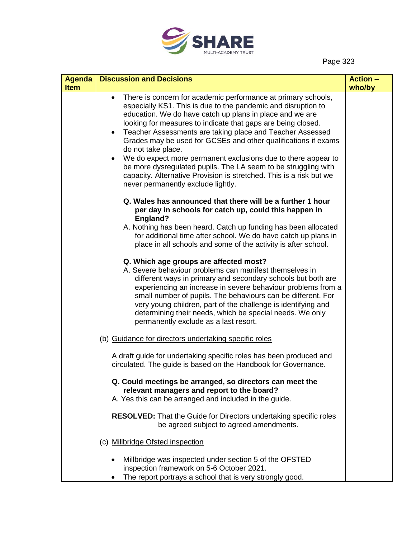

| <b>Agenda</b> | <b>Discussion and Decisions</b>                                                                                                                                                                                                                                                                                                                                                                                                                                                               | <b>Action -</b> |
|---------------|-----------------------------------------------------------------------------------------------------------------------------------------------------------------------------------------------------------------------------------------------------------------------------------------------------------------------------------------------------------------------------------------------------------------------------------------------------------------------------------------------|-----------------|
| <b>Item</b>   |                                                                                                                                                                                                                                                                                                                                                                                                                                                                                               | who/by          |
|               | There is concern for academic performance at primary schools,<br>especially KS1. This is due to the pandemic and disruption to<br>education. We do have catch up plans in place and we are<br>looking for measures to indicate that gaps are being closed.<br>Teacher Assessments are taking place and Teacher Assessed<br>$\bullet$<br>Grades may be used for GCSEs and other qualifications if exams<br>do not take place.<br>We do expect more permanent exclusions due to there appear to |                 |
|               | be more dysregulated pupils. The LA seem to be struggling with<br>capacity. Alternative Provision is stretched. This is a risk but we<br>never permanently exclude lightly.                                                                                                                                                                                                                                                                                                                   |                 |
|               | Q. Wales has announced that there will be a further 1 hour<br>per day in schools for catch up, could this happen in<br>England?                                                                                                                                                                                                                                                                                                                                                               |                 |
|               | A. Nothing has been heard. Catch up funding has been allocated<br>for additional time after school. We do have catch up plans in<br>place in all schools and some of the activity is after school.                                                                                                                                                                                                                                                                                            |                 |
|               | Q. Which age groups are affected most?<br>A. Severe behaviour problems can manifest themselves in<br>different ways in primary and secondary schools but both are<br>experiencing an increase in severe behaviour problems from a<br>small number of pupils. The behaviours can be different. For<br>very young children, part of the challenge is identifying and<br>determining their needs, which be special needs. We only<br>permanently exclude as a last resort.                       |                 |
|               | (b) Guidance for directors undertaking specific roles                                                                                                                                                                                                                                                                                                                                                                                                                                         |                 |
|               | A draft guide for undertaking specific roles has been produced and<br>circulated. The guide is based on the Handbook for Governance.                                                                                                                                                                                                                                                                                                                                                          |                 |
|               | Q. Could meetings be arranged, so directors can meet the<br>relevant managers and report to the board?<br>A. Yes this can be arranged and included in the guide.                                                                                                                                                                                                                                                                                                                              |                 |
|               | <b>RESOLVED:</b> That the Guide for Directors undertaking specific roles<br>be agreed subject to agreed amendments.                                                                                                                                                                                                                                                                                                                                                                           |                 |
|               | (c) Millbridge Ofsted inspection                                                                                                                                                                                                                                                                                                                                                                                                                                                              |                 |
|               | Millbridge was inspected under section 5 of the OFSTED<br>inspection framework on 5-6 October 2021.<br>The report portrays a school that is very strongly good.                                                                                                                                                                                                                                                                                                                               |                 |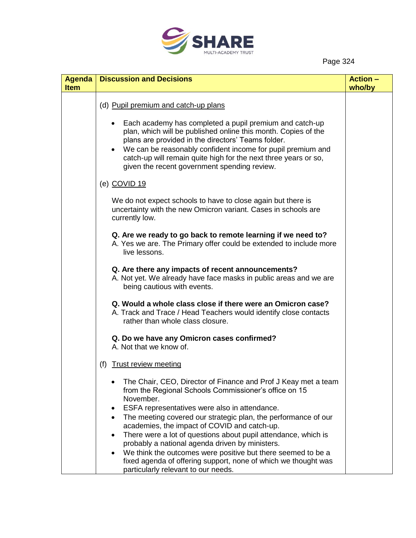

| <b>Agenda</b> | <b>Discussion and Decisions</b>                                                                                                                                                                                                                                                                                                                                   | <b>Action -</b> |
|---------------|-------------------------------------------------------------------------------------------------------------------------------------------------------------------------------------------------------------------------------------------------------------------------------------------------------------------------------------------------------------------|-----------------|
| <b>Item</b>   |                                                                                                                                                                                                                                                                                                                                                                   | who/by          |
|               | (d) Pupil premium and catch-up plans                                                                                                                                                                                                                                                                                                                              |                 |
|               | Each academy has completed a pupil premium and catch-up<br>plan, which will be published online this month. Copies of the<br>plans are provided in the directors' Teams folder.<br>We can be reasonably confident income for pupil premium and<br>catch-up will remain quite high for the next three years or so,<br>given the recent government spending review. |                 |
|               | (e) COVID 19                                                                                                                                                                                                                                                                                                                                                      |                 |
|               | We do not expect schools to have to close again but there is<br>uncertainty with the new Omicron variant. Cases in schools are<br>currently low.                                                                                                                                                                                                                  |                 |
|               | Q. Are we ready to go back to remote learning if we need to?<br>A. Yes we are. The Primary offer could be extended to include more<br>live lessons.                                                                                                                                                                                                               |                 |
|               | Q. Are there any impacts of recent announcements?<br>A. Not yet. We already have face masks in public areas and we are<br>being cautious with events.                                                                                                                                                                                                             |                 |
|               | Q. Would a whole class close if there were an Omicron case?<br>A. Track and Trace / Head Teachers would identify close contacts<br>rather than whole class closure.                                                                                                                                                                                               |                 |
|               | Q. Do we have any Omicron cases confirmed?<br>A. Not that we know of.                                                                                                                                                                                                                                                                                             |                 |
|               | Trust review meeting<br>(f)                                                                                                                                                                                                                                                                                                                                       |                 |
|               | The Chair, CEO, Director of Finance and Prof J Keay met a team<br>from the Regional Schools Commissioner's office on 15<br>November.                                                                                                                                                                                                                              |                 |
|               | ESFA representatives were also in attendance.                                                                                                                                                                                                                                                                                                                     |                 |
|               | The meeting covered our strategic plan, the performance of our                                                                                                                                                                                                                                                                                                    |                 |
|               | academies, the impact of COVID and catch-up.<br>There were a lot of questions about pupil attendance, which is                                                                                                                                                                                                                                                    |                 |
|               | probably a national agenda driven by ministers.                                                                                                                                                                                                                                                                                                                   |                 |
|               | We think the outcomes were positive but there seemed to be a<br>fixed agenda of offering support, none of which we thought was<br>particularly relevant to our needs.                                                                                                                                                                                             |                 |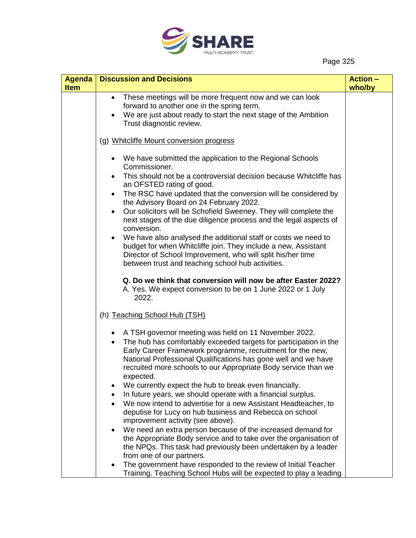

| <b>Agenda</b> | <b>Discussion and Decisions</b>                                                                                                                                                                                                                                                                                                            | <b>Action -</b> |
|---------------|--------------------------------------------------------------------------------------------------------------------------------------------------------------------------------------------------------------------------------------------------------------------------------------------------------------------------------------------|-----------------|
| <b>Item</b>   |                                                                                                                                                                                                                                                                                                                                            | who/by          |
|               | These meetings will be more frequent now and we can look<br>forward to another one in the spring term.                                                                                                                                                                                                                                     |                 |
|               | We are just about ready to start the next stage of the Ambition<br>Trust diagnostic review.                                                                                                                                                                                                                                                |                 |
|               | (g) Whitcliffe Mount conversion progress                                                                                                                                                                                                                                                                                                   |                 |
|               | We have submitted the application to the Regional Schools<br>Commissioner.                                                                                                                                                                                                                                                                 |                 |
|               | This should not be a controversial decision because Whitcliffe has<br>an OFSTED rating of good.                                                                                                                                                                                                                                            |                 |
|               | The RSC have updated that the conversion will be considered by<br>$\bullet$<br>the Advisory Board on 24 February 2022.                                                                                                                                                                                                                     |                 |
|               | Our solicitors will be Schofield Sweeney. They will complete the<br>$\bullet$<br>next stages of the due diligence process and the legal aspects of<br>conversion.                                                                                                                                                                          |                 |
|               | We have also analysed the additional staff or costs we need to<br>budget for when Whitcliffe join. They include a new, Assistant<br>Director of School Improvement, who will split his/her time<br>between trust and teaching school hub activities.                                                                                       |                 |
|               | Q. Do we think that conversion will now be after Easter 2022?<br>A. Yes. We expect conversion to be on 1 June 2022 or 1 July<br>2022.                                                                                                                                                                                                      |                 |
|               | (h) Teaching School Hub (TSH)                                                                                                                                                                                                                                                                                                              |                 |
|               | • A TSH governor meeting was held on 11 November 2022.<br>The hub has comfortably exceeded targets for participation in the<br>$\bullet$<br>Early Career Framework programme, recruitment for the new,<br>National Professional Qualifications has gone well and we have<br>recruited more schools to our Appropriate Body service than we |                 |
|               | expected<br>We currently expect the hub to break even financially.<br>In future years, we should operate with a financial surplus.                                                                                                                                                                                                         |                 |
|               | We now intend to advertise for a new Assistant Headteacher, to<br>deputise for Lucy on hub business and Rebecca on school<br>improvement activity (see above).                                                                                                                                                                             |                 |
|               | We need an extra person because of the increased demand for<br>the Appropriate Body service and to take over the organisation of<br>the NPQs. This task had previously been undertaken by a leader<br>from one of our partners.                                                                                                            |                 |
|               | The government have responded to the review of Initial Teacher<br>Training. Teaching School Hubs will be expected to play a leading                                                                                                                                                                                                        |                 |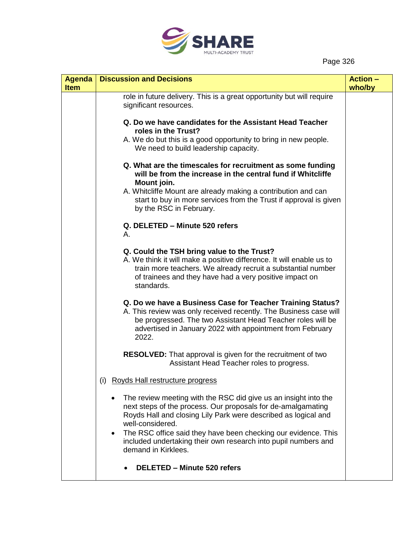

| <b>Agenda</b><br><b>Item</b> | <b>Discussion and Decisions</b>                                                                                                                                                                                                                                                                                                                                                       | <b>Action -</b><br>who/by |
|------------------------------|---------------------------------------------------------------------------------------------------------------------------------------------------------------------------------------------------------------------------------------------------------------------------------------------------------------------------------------------------------------------------------------|---------------------------|
|                              | role in future delivery. This is a great opportunity but will require<br>significant resources.                                                                                                                                                                                                                                                                                       |                           |
|                              | Q. Do we have candidates for the Assistant Head Teacher<br>roles in the Trust?<br>A. We do but this is a good opportunity to bring in new people.<br>We need to build leadership capacity.                                                                                                                                                                                            |                           |
|                              | Q. What are the timescales for recruitment as some funding<br>will be from the increase in the central fund if Whitcliffe<br>Mount join.<br>A. Whitcliffe Mount are already making a contribution and can<br>start to buy in more services from the Trust if approval is given<br>by the RSC in February.                                                                             |                           |
|                              | Q. DELETED - Minute 520 refers<br>Α.                                                                                                                                                                                                                                                                                                                                                  |                           |
|                              | Q. Could the TSH bring value to the Trust?<br>A. We think it will make a positive difference. It will enable us to<br>train more teachers. We already recruit a substantial number<br>of trainees and they have had a very positive impact on<br>standards.                                                                                                                           |                           |
|                              | Q. Do we have a Business Case for Teacher Training Status?<br>A. This review was only received recently. The Business case will<br>be progressed. The two Assistant Head Teacher roles will be<br>advertised in January 2022 with appointment from February<br>2022.                                                                                                                  |                           |
|                              | <b>RESOLVED:</b> That approval is given for the recruitment of two<br>Assistant Head Teacher roles to progress.                                                                                                                                                                                                                                                                       |                           |
|                              | <u>Royds Hall restructure progress</u><br>(1)                                                                                                                                                                                                                                                                                                                                         |                           |
|                              | The review meeting with the RSC did give us an insight into the<br>next steps of the process. Our proposals for de-amalgamating<br>Royds Hall and closing Lily Park were described as logical and<br>well-considered.<br>The RSC office said they have been checking our evidence. This<br>٠<br>included undertaking their own research into pupil numbers and<br>demand in Kirklees. |                           |
|                              | <b>DELETED - Minute 520 refers</b>                                                                                                                                                                                                                                                                                                                                                    |                           |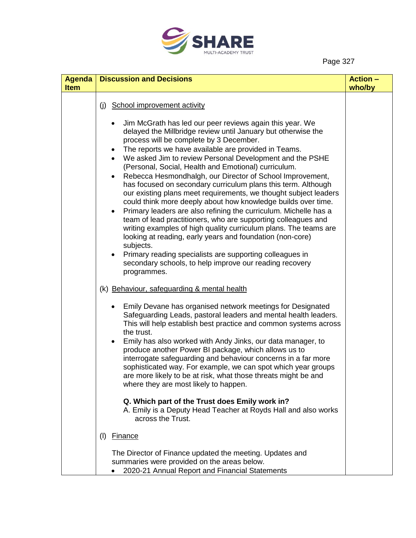

| <b>Agenda</b> | <b>Discussion and Decisions</b>                                                                                                                                                                                                                                                                                                                                                                                                                                                                                                                                                                                                                                                                                                                                                                                                                                                                                                                                                                                                                           | <b>Action -</b> |
|---------------|-----------------------------------------------------------------------------------------------------------------------------------------------------------------------------------------------------------------------------------------------------------------------------------------------------------------------------------------------------------------------------------------------------------------------------------------------------------------------------------------------------------------------------------------------------------------------------------------------------------------------------------------------------------------------------------------------------------------------------------------------------------------------------------------------------------------------------------------------------------------------------------------------------------------------------------------------------------------------------------------------------------------------------------------------------------|-----------------|
| <b>Item</b>   |                                                                                                                                                                                                                                                                                                                                                                                                                                                                                                                                                                                                                                                                                                                                                                                                                                                                                                                                                                                                                                                           | who/by          |
|               | (j) School improvement activity                                                                                                                                                                                                                                                                                                                                                                                                                                                                                                                                                                                                                                                                                                                                                                                                                                                                                                                                                                                                                           |                 |
|               | Jim McGrath has led our peer reviews again this year. We<br>delayed the Millbridge review until January but otherwise the<br>process will be complete by 3 December.<br>The reports we have available are provided in Teams.<br>We asked Jim to review Personal Development and the PSHE<br>(Personal, Social, Health and Emotional) curriculum.<br>Rebecca Hesmondhalgh, our Director of School Improvement,<br>$\bullet$<br>has focused on secondary curriculum plans this term. Although<br>our existing plans meet requirements, we thought subject leaders<br>could think more deeply about how knowledge builds over time.<br>Primary leaders are also refining the curriculum. Michelle has a<br>team of lead practitioners, who are supporting colleagues and<br>writing examples of high quality curriculum plans. The teams are<br>looking at reading, early years and foundation (non-core)<br>subjects.<br>Primary reading specialists are supporting colleagues in<br>secondary schools, to help improve our reading recovery<br>programmes. |                 |
|               | (k) Behaviour, safeguarding & mental health                                                                                                                                                                                                                                                                                                                                                                                                                                                                                                                                                                                                                                                                                                                                                                                                                                                                                                                                                                                                               |                 |
|               | Emily Devane has organised network meetings for Designated<br>Safeguarding Leads, pastoral leaders and mental health leaders.<br>This will help establish best practice and common systems across<br>the trust.<br>Emily has also worked with Andy Jinks, our data manager, to<br>produce another Power BI package, which allows us to<br>interrogate safeguarding and behaviour concerns in a far more<br>sophisticated way. For example, we can spot which year groups<br>are more likely to be at risk, what those threats might be and<br>where they are most likely to happen.                                                                                                                                                                                                                                                                                                                                                                                                                                                                       |                 |
|               | Q. Which part of the Trust does Emily work in?<br>A. Emily is a Deputy Head Teacher at Royds Hall and also works<br>across the Trust.                                                                                                                                                                                                                                                                                                                                                                                                                                                                                                                                                                                                                                                                                                                                                                                                                                                                                                                     |                 |
|               | <u>Finance</u><br>(1)                                                                                                                                                                                                                                                                                                                                                                                                                                                                                                                                                                                                                                                                                                                                                                                                                                                                                                                                                                                                                                     |                 |
|               | The Director of Finance updated the meeting. Updates and<br>summaries were provided on the areas below.<br>2020-21 Annual Report and Financial Statements                                                                                                                                                                                                                                                                                                                                                                                                                                                                                                                                                                                                                                                                                                                                                                                                                                                                                                 |                 |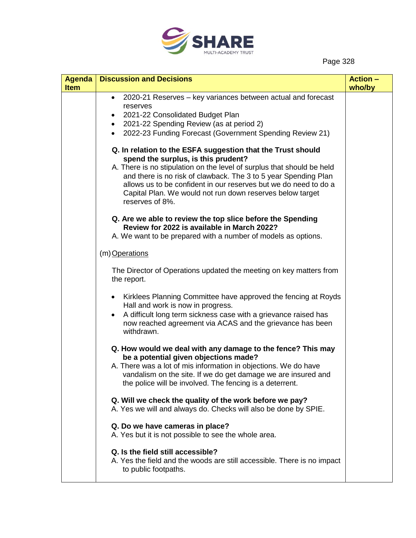

| <b>Agenda</b> | <b>Discussion and Decisions</b>                                                                                                                                                                                                                                                                                                                                                                     | <b>Action -</b> |
|---------------|-----------------------------------------------------------------------------------------------------------------------------------------------------------------------------------------------------------------------------------------------------------------------------------------------------------------------------------------------------------------------------------------------------|-----------------|
| <b>Item</b>   | 2020-21 Reserves - key variances between actual and forecast                                                                                                                                                                                                                                                                                                                                        | who/by          |
|               | reserves<br>2021-22 Consolidated Budget Plan                                                                                                                                                                                                                                                                                                                                                        |                 |
|               | ٠<br>2021-22 Spending Review (as at period 2)<br>$\bullet$                                                                                                                                                                                                                                                                                                                                          |                 |
|               | 2022-23 Funding Forecast (Government Spending Review 21)<br>$\bullet$                                                                                                                                                                                                                                                                                                                               |                 |
|               | Q. In relation to the ESFA suggestion that the Trust should<br>spend the surplus, is this prudent?<br>A. There is no stipulation on the level of surplus that should be held<br>and there is no risk of clawback. The 3 to 5 year Spending Plan<br>allows us to be confident in our reserves but we do need to do a<br>Capital Plan. We would not run down reserves below target<br>reserves of 8%. |                 |
|               | Q. Are we able to review the top slice before the Spending<br>Review for 2022 is available in March 2022?<br>A. We want to be prepared with a number of models as options.                                                                                                                                                                                                                          |                 |
|               | (m) Operations                                                                                                                                                                                                                                                                                                                                                                                      |                 |
|               | The Director of Operations updated the meeting on key matters from<br>the report.                                                                                                                                                                                                                                                                                                                   |                 |
|               | Kirklees Planning Committee have approved the fencing at Royds<br>Hall and work is now in progress.<br>A difficult long term sickness case with a grievance raised has<br>now reached agreement via ACAS and the grievance has been<br>withdrawn.                                                                                                                                                   |                 |
|               | Q. How would we deal with any damage to the fence? This may<br>be a potential given objections made?<br>A. There was a lot of mis information in objections. We do have<br>vandalism on the site. If we do get damage we are insured and<br>the police will be involved. The fencing is a deterrent.                                                                                                |                 |
|               | Q. Will we check the quality of the work before we pay?<br>A. Yes we will and always do. Checks will also be done by SPIE.                                                                                                                                                                                                                                                                          |                 |
|               | Q. Do we have cameras in place?<br>A. Yes but it is not possible to see the whole area.                                                                                                                                                                                                                                                                                                             |                 |
|               | Q. Is the field still accessible?<br>A. Yes the field and the woods are still accessible. There is no impact<br>to public footpaths.                                                                                                                                                                                                                                                                |                 |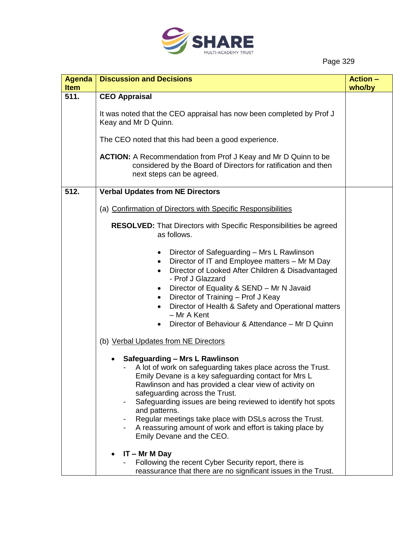

| <b>Agenda</b>       | <b>Discussion and Decisions</b>                                                                                                                                                                                                                                                                                                                                                                                                                                                              | <b>Action -</b> |
|---------------------|----------------------------------------------------------------------------------------------------------------------------------------------------------------------------------------------------------------------------------------------------------------------------------------------------------------------------------------------------------------------------------------------------------------------------------------------------------------------------------------------|-----------------|
| <b>Item</b><br>511. | <b>CEO Appraisal</b>                                                                                                                                                                                                                                                                                                                                                                                                                                                                         | who/by          |
|                     | It was noted that the CEO appraisal has now been completed by Prof J<br>Keay and Mr D Quinn.<br>The CEO noted that this had been a good experience.                                                                                                                                                                                                                                                                                                                                          |                 |
|                     | <b>ACTION:</b> A Recommendation from Prof J Keay and Mr D Quinn to be<br>considered by the Board of Directors for ratification and then<br>next steps can be agreed.                                                                                                                                                                                                                                                                                                                         |                 |
| 512.                | <b>Verbal Updates from NE Directors</b>                                                                                                                                                                                                                                                                                                                                                                                                                                                      |                 |
|                     | (a) Confirmation of Directors with Specific Responsibilities                                                                                                                                                                                                                                                                                                                                                                                                                                 |                 |
|                     | <b>RESOLVED:</b> That Directors with Specific Responsibilities be agreed<br>as follows.                                                                                                                                                                                                                                                                                                                                                                                                      |                 |
|                     | Director of Safeguarding - Mrs L Rawlinson<br>Director of IT and Employee matters - Mr M Day<br>$\bullet$<br>Director of Looked After Children & Disadvantaged<br>$\bullet$<br>- Prof J Glazzard<br>Director of Equality & SEND - Mr N Javaid<br>Director of Training - Prof J Keay<br>٠<br>Director of Health & Safety and Operational matters<br>$\bullet$<br>- Mr A Kent<br>Director of Behaviour & Attendance - Mr D Quinn                                                               |                 |
|                     | (b) Verbal Updates from NE Directors                                                                                                                                                                                                                                                                                                                                                                                                                                                         |                 |
|                     | Safeguarding – Mrs L Rawlinson<br>٠<br>A lot of work on safeguarding takes place across the Trust.<br>Emily Devane is a key safeguarding contact for Mrs L<br>Rawlinson and has provided a clear view of activity on<br>safeguarding across the Trust.<br>Safeguarding issues are being reviewed to identify hot spots<br>and patterns.<br>Regular meetings take place with DSLs across the Trust.<br>A reassuring amount of work and effort is taking place by<br>Emily Devane and the CEO. |                 |
|                     | $IT - Mr M Day$<br>Following the recent Cyber Security report, there is<br>reassurance that there are no significant issues in the Trust.                                                                                                                                                                                                                                                                                                                                                    |                 |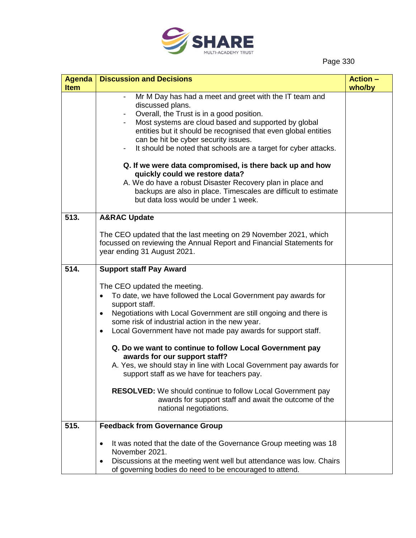

| <b>Agenda</b> | <b>Discussion and Decisions</b>                                                                                                                                                                                                                                                                                                                                                                                                                                                                                                                                                                                                                                                                           | <b>Action -</b> |
|---------------|-----------------------------------------------------------------------------------------------------------------------------------------------------------------------------------------------------------------------------------------------------------------------------------------------------------------------------------------------------------------------------------------------------------------------------------------------------------------------------------------------------------------------------------------------------------------------------------------------------------------------------------------------------------------------------------------------------------|-----------------|
| <b>Item</b>   | Mr M Day has had a meet and greet with the IT team and<br>discussed plans.<br>Overall, the Trust is in a good position.<br>Most systems are cloud based and supported by global<br>entities but it should be recognised that even global entities<br>can be hit be cyber security issues.<br>It should be noted that schools are a target for cyber attacks.<br>Q. If we were data compromised, is there back up and how<br>quickly could we restore data?<br>A. We do have a robust Disaster Recovery plan in place and<br>backups are also in place. Timescales are difficult to estimate<br>but data loss would be under 1 week.                                                                       | who/by          |
| 513.          | <b>A&amp;RAC Update</b>                                                                                                                                                                                                                                                                                                                                                                                                                                                                                                                                                                                                                                                                                   |                 |
|               | The CEO updated that the last meeting on 29 November 2021, which<br>focussed on reviewing the Annual Report and Financial Statements for<br>year ending 31 August 2021.                                                                                                                                                                                                                                                                                                                                                                                                                                                                                                                                   |                 |
| 514.          | <b>Support staff Pay Award</b>                                                                                                                                                                                                                                                                                                                                                                                                                                                                                                                                                                                                                                                                            |                 |
|               | The CEO updated the meeting.<br>To date, we have followed the Local Government pay awards for<br>$\bullet$<br>support staff.<br>Negotiations with Local Government are still ongoing and there is<br>٠<br>some risk of industrial action in the new year.<br>Local Government have not made pay awards for support staff.<br>٠<br>Q. Do we want to continue to follow Local Government pay<br>awards for our support staff?<br>A. Yes, we should stay in line with Local Government pay awards for<br>support staff as we have for teachers pay.<br><b>RESOLVED:</b> We should continue to follow Local Government pay<br>awards for support staff and await the outcome of the<br>national negotiations. |                 |
| 515.          | <b>Feedback from Governance Group</b>                                                                                                                                                                                                                                                                                                                                                                                                                                                                                                                                                                                                                                                                     |                 |
|               | It was noted that the date of the Governance Group meeting was 18<br>$\bullet$<br>November 2021.<br>Discussions at the meeting went well but attendance was low. Chairs<br>٠<br>of governing bodies do need to be encouraged to attend.                                                                                                                                                                                                                                                                                                                                                                                                                                                                   |                 |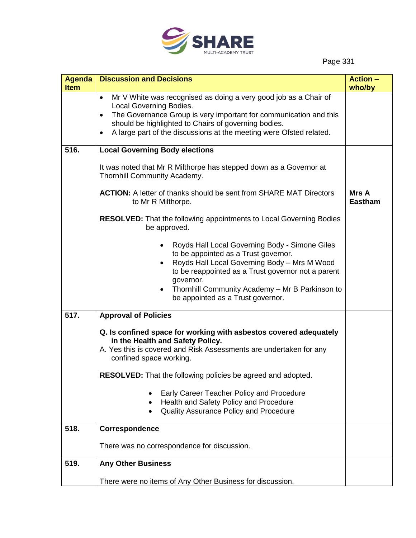

| <b>Agenda</b> | <b>Discussion and Decisions</b>                                                                                                                                                                                                                                                                                                | <b>Action -</b>         |
|---------------|--------------------------------------------------------------------------------------------------------------------------------------------------------------------------------------------------------------------------------------------------------------------------------------------------------------------------------|-------------------------|
| <b>Item</b>   | Mr V White was recognised as doing a very good job as a Chair of<br>$\bullet$<br>Local Governing Bodies.<br>The Governance Group is very important for communication and this<br>$\bullet$<br>should be highlighted to Chairs of governing bodies.<br>A large part of the discussions at the meeting were Ofsted related.<br>٠ | who/by                  |
| 516.          | <b>Local Governing Body elections</b>                                                                                                                                                                                                                                                                                          |                         |
|               | It was noted that Mr R Milthorpe has stepped down as a Governor at<br>Thornhill Community Academy.                                                                                                                                                                                                                             |                         |
|               | <b>ACTION:</b> A letter of thanks should be sent from SHARE MAT Directors<br>to Mr R Milthorpe.                                                                                                                                                                                                                                | Mrs A<br><b>Eastham</b> |
|               | <b>RESOLVED:</b> That the following appointments to Local Governing Bodies<br>be approved.                                                                                                                                                                                                                                     |                         |
|               | Royds Hall Local Governing Body - Simone Giles<br>to be appointed as a Trust governor.<br>Royds Hall Local Governing Body - Mrs M Wood<br>to be reappointed as a Trust governor not a parent<br>governor.<br>Thornhill Community Academy - Mr B Parkinson to<br>be appointed as a Trust governor.                              |                         |
| 517.          | <b>Approval of Policies</b><br>Q. Is confined space for working with asbestos covered adequately                                                                                                                                                                                                                               |                         |
|               | in the Health and Safety Policy.<br>A. Yes this is covered and Risk Assessments are undertaken for any<br>confined space working.                                                                                                                                                                                              |                         |
|               | RESOLVED: That the following policies be agreed and adopted.                                                                                                                                                                                                                                                                   |                         |
|               | Early Career Teacher Policy and Procedure<br>Health and Safety Policy and Procedure<br>$\bullet$<br>Quality Assurance Policy and Procedure<br>$\bullet$                                                                                                                                                                        |                         |
| 518.          | Correspondence                                                                                                                                                                                                                                                                                                                 |                         |
|               | There was no correspondence for discussion.                                                                                                                                                                                                                                                                                    |                         |
| 519.          | <b>Any Other Business</b>                                                                                                                                                                                                                                                                                                      |                         |
|               | There were no items of Any Other Business for discussion.                                                                                                                                                                                                                                                                      |                         |